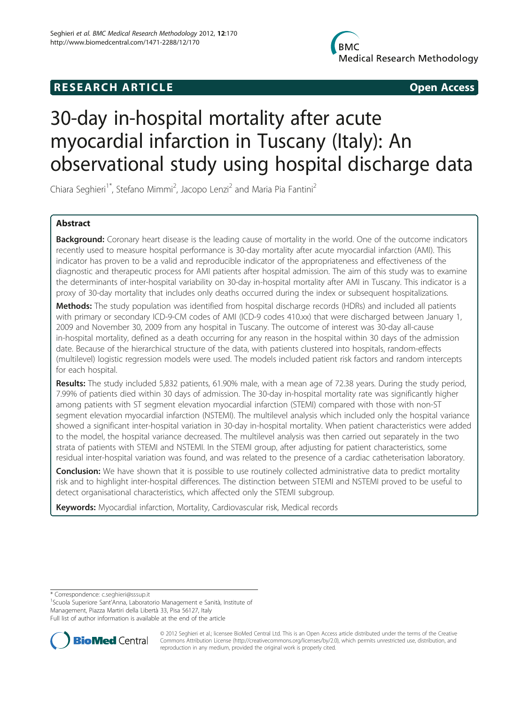## **RESEARCH ARTICLE Example 2014 CONSIDERING CONSIDERING CONSIDERING CONSIDERING CONSIDERING CONSIDERING CONSIDERING CONSIDERING CONSIDERING CONSIDERING CONSIDERING CONSIDERING CONSIDERING CONSIDERING CONSIDERING CONSIDE**

# 30-day in-hospital mortality after acute myocardial infarction in Tuscany (Italy): An observational study using hospital discharge data

Chiara Seghieri<sup>1\*</sup>, Stefano Mimmi<sup>2</sup>, Jacopo Lenzi<sup>2</sup> and Maria Pia Fantini<sup>2</sup>

## Abstract

Background: Coronary heart disease is the leading cause of mortality in the world. One of the outcome indicators recently used to measure hospital performance is 30-day mortality after acute myocardial infarction (AMI). This indicator has proven to be a valid and reproducible indicator of the appropriateness and effectiveness of the diagnostic and therapeutic process for AMI patients after hospital admission. The aim of this study was to examine the determinants of inter-hospital variability on 30-day in-hospital mortality after AMI in Tuscany. This indicator is a proxy of 30-day mortality that includes only deaths occurred during the index or subsequent hospitalizations.

Methods: The study population was identified from hospital discharge records (HDRs) and included all patients with primary or secondary ICD-9-CM codes of AMI (ICD-9 codes 410.xx) that were discharged between January 1, 2009 and November 30, 2009 from any hospital in Tuscany. The outcome of interest was 30-day all-cause in-hospital mortality, defined as a death occurring for any reason in the hospital within 30 days of the admission date. Because of the hierarchical structure of the data, with patients clustered into hospitals, random-effects (multilevel) logistic regression models were used. The models included patient risk factors and random intercepts for each hospital.

Results: The study included 5,832 patients, 61.90% male, with a mean age of 72.38 years. During the study period, 7.99% of patients died within 30 days of admission. The 30-day in-hospital mortality rate was significantly higher among patients with ST segment elevation myocardial infarction (STEMI) compared with those with non-ST segment elevation myocardial infarction (NSTEMI). The multilevel analysis which included only the hospital variance showed a significant inter-hospital variation in 30-day in-hospital mortality. When patient characteristics were added to the model, the hospital variance decreased. The multilevel analysis was then carried out separately in the two strata of patients with STEMI and NSTEMI. In the STEMI group, after adjusting for patient characteristics, some residual inter-hospital variation was found, and was related to the presence of a cardiac catheterisation laboratory.

Conclusion: We have shown that it is possible to use routinely collected administrative data to predict mortality risk and to highlight inter-hospital differences. The distinction between STEMI and NSTEMI proved to be useful to detect organisational characteristics, which affected only the STEMI subgroup.

Keywords: Myocardial infarction, Mortality, Cardiovascular risk, Medical records

<sup>1</sup>Scuola Superiore Sant'Anna, Laboratorio Management e Sanità, Institute of Management, Piazza Martiri della Libertà 33, Pisa 56127, Italy

Full list of author information is available at the end of the article



© 2012 Seghieri et al.; licensee BioMed Central Ltd. This is an Open Access article distributed under the terms of the Creative Commons Attribution License [\(http://creativecommons.org/licenses/by/2.0\)](http://creativecommons.org/licenses/by/2.0), which permits unrestricted use, distribution, and reproduction in any medium, provided the original work is properly cited.

<sup>\*</sup> Correspondence: [c.seghieri@sssup.it](mailto:c.seghieri@sssup.it) <sup>1</sup>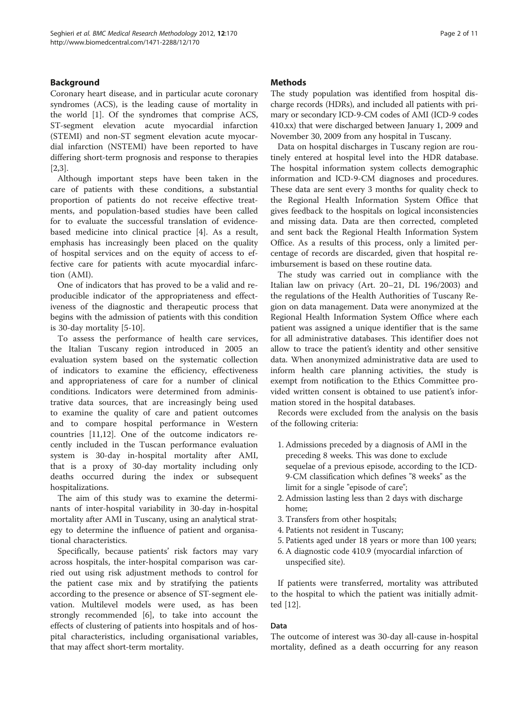## Background

Coronary heart disease, and in particular acute coronary syndromes (ACS), is the leading cause of mortality in the world [[1\]](#page-9-0). Of the syndromes that comprise ACS, ST-segment elevation acute myocardial infarction (STEMI) and non-ST segment elevation acute myocardial infarction (NSTEMI) have been reported to have differing short-term prognosis and response to therapies [[2,3\]](#page-9-0).

Although important steps have been taken in the care of patients with these conditions, a substantial proportion of patients do not receive effective treatments, and population-based studies have been called for to evaluate the successful translation of evidencebased medicine into clinical practice [[4\]](#page-9-0). As a result, emphasis has increasingly been placed on the quality of hospital services and on the equity of access to effective care for patients with acute myocardial infarction (AMI).

One of indicators that has proved to be a valid and reproducible indicator of the appropriateness and effectiveness of the diagnostic and therapeutic process that begins with the admission of patients with this condition is 30-day mortality [[5-10\]](#page-9-0).

To assess the performance of health care services, the Italian Tuscany region introduced in 2005 an evaluation system based on the systematic collection of indicators to examine the efficiency, effectiveness and appropriateness of care for a number of clinical conditions. Indicators were determined from administrative data sources, that are increasingly being used to examine the quality of care and patient outcomes and to compare hospital performance in Western countries [\[11,12](#page-9-0)]. One of the outcome indicators recently included in the Tuscan performance evaluation system is 30-day in-hospital mortality after AMI, that is a proxy of 30-day mortality including only deaths occurred during the index or subsequent hospitalizations.

The aim of this study was to examine the determinants of inter-hospital variability in 30-day in-hospital mortality after AMI in Tuscany, using an analytical strategy to determine the influence of patient and organisational characteristics.

Specifically, because patients' risk factors may vary across hospitals, the inter-hospital comparison was carried out using risk adjustment methods to control for the patient case mix and by stratifying the patients according to the presence or absence of ST-segment elevation. Multilevel models were used, as has been strongly recommended [[6](#page-9-0)], to take into account the effects of clustering of patients into hospitals and of hospital characteristics, including organisational variables, that may affect short-term mortality.

## **Methods**

The study population was identified from hospital discharge records (HDRs), and included all patients with primary or secondary ICD-9-CM codes of AMI (ICD-9 codes 410.xx) that were discharged between January 1, 2009 and November 30, 2009 from any hospital in Tuscany.

Data on hospital discharges in Tuscany region are routinely entered at hospital level into the HDR database. The hospital information system collects demographic information and ICD-9-CM diagnoses and procedures. These data are sent every 3 months for quality check to the Regional Health Information System Office that gives feedback to the hospitals on logical inconsistencies and missing data. Data are then corrected, completed and sent back the Regional Health Information System Office. As a results of this process, only a limited percentage of records are discarded, given that hospital reimbursement is based on these routine data.

The study was carried out in compliance with the Italian law on privacy (Art. 20–21, DL 196/2003) and the regulations of the Health Authorities of Tuscany Region on data management. Data were anonymized at the Regional Health Information System Office where each patient was assigned a unique identifier that is the same for all administrative databases. This identifier does not allow to trace the patient's identity and other sensitive data. When anonymized administrative data are used to inform health care planning activities, the study is exempt from notification to the Ethics Committee provided written consent is obtained to use patient's information stored in the hospital databases.

Records were excluded from the analysis on the basis of the following criteria:

- 1. Admissions preceded by a diagnosis of AMI in the preceding 8 weeks. This was done to exclude sequelae of a previous episode, according to the ICD-9-CM classification which defines "8 weeks" as the limit for a single "episode of care";
- 2. Admission lasting less than 2 days with discharge home;
- 3. Transfers from other hospitals;
- 4. Patients not resident in Tuscany;
- 5. Patients aged under 18 years or more than 100 years;
- 6. A diagnostic code 410.9 (myocardial infarction of unspecified site).

If patients were transferred, mortality was attributed to the hospital to which the patient was initially admitted [[12](#page-9-0)].

## Data

The outcome of interest was 30-day all-cause in-hospital mortality, defined as a death occurring for any reason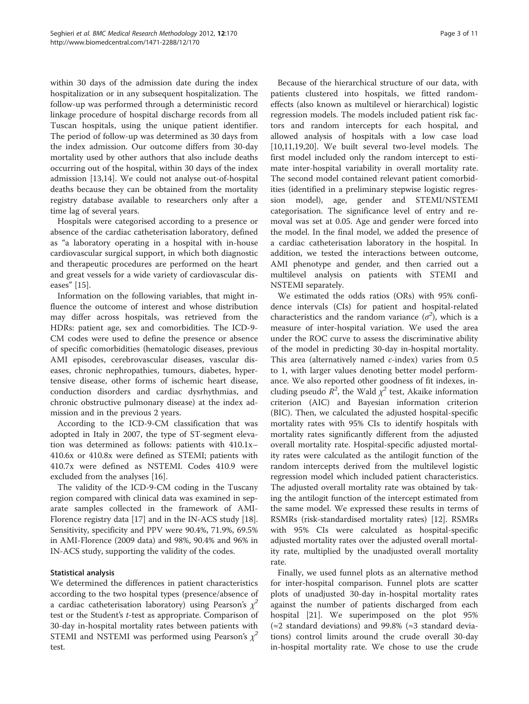within 30 days of the admission date during the index hospitalization or in any subsequent hospitalization. The follow-up was performed through a deterministic record linkage procedure of hospital discharge records from all Tuscan hospitals, using the unique patient identifier. The period of follow-up was determined as 30 days from the index admission. Our outcome differs from 30-day mortality used by other authors that also include deaths occurring out of the hospital, within 30 days of the index admission [[13](#page-9-0),[14](#page-9-0)]. We could not analyse out-of-hospital deaths because they can be obtained from the mortality registry database available to researchers only after a time lag of several years.

Hospitals were categorised according to a presence or absence of the cardiac catheterisation laboratory, defined as "a laboratory operating in a hospital with in-house cardiovascular surgical support, in which both diagnostic and therapeutic procedures are performed on the heart and great vessels for a wide variety of cardiovascular diseases" [\[15](#page-9-0)].

Information on the following variables, that might influence the outcome of interest and whose distribution may differ across hospitals, was retrieved from the HDRs: patient age, sex and comorbidities. The ICD-9- CM codes were used to define the presence or absence of specific comorbidities (hematologic diseases, previous AMI episodes, cerebrovascular diseases, vascular diseases, chronic nephropathies, tumours, diabetes, hypertensive disease, other forms of ischemic heart disease, conduction disorders and cardiac dysrhythmias, and chronic obstructive pulmonary disease) at the index admission and in the previous 2 years.

According to the ICD-9-CM classification that was adopted in Italy in 2007, the type of ST-segment elevation was determined as follows: patients with 410.1x– 410.6x or 410.8x were defined as STEMI; patients with 410.7x were defined as NSTEMI. Codes 410.9 were excluded from the analyses [[16\]](#page-9-0).

The validity of the ICD-9-CM coding in the Tuscany region compared with clinical data was examined in separate samples collected in the framework of AMI-Florence registry data [\[17\]](#page-9-0) and in the IN-ACS study [\[18](#page-9-0)]. Sensitivity, specificity and PPV were 90.4%, 71.9%, 69.5% in AMI-Florence (2009 data) and 98%, 90.4% and 96% in IN-ACS study, supporting the validity of the codes.

## Statistical analysis

We determined the differences in patient characteristics according to the two hospital types (presence/absence of a cardiac catheterisation laboratory) using Pearson's  $\chi^2$ test or the Student's t-test as appropriate. Comparison of 30-day in-hospital mortality rates between patients with STEMI and NSTEMI was performed using Pearson's  $\chi^2$ test.

Because of the hierarchical structure of our data, with patients clustered into hospitals, we fitted randomeffects (also known as multilevel or hierarchical) logistic regression models. The models included patient risk factors and random intercepts for each hospital, and allowed analysis of hospitals with a low case load [[10,11,19,20\]](#page-9-0). We built several two-level models. The first model included only the random intercept to estimate inter-hospital variability in overall mortality rate. The second model contained relevant patient comorbidities (identified in a preliminary stepwise logistic regression model), age, gender and STEMI/NSTEMI categorisation. The significance level of entry and removal was set at 0.05. Age and gender were forced into the model. In the final model, we added the presence of a cardiac catheterisation laboratory in the hospital. In addition, we tested the interactions between outcome, AMI phenotype and gender, and then carried out a multilevel analysis on patients with STEMI and NSTEMI separately.

We estimated the odds ratios (ORs) with 95% confidence intervals (CIs) for patient and hospital-related characteristics and the random variance  $(\sigma^2)$ , which is a measure of inter-hospital variation. We used the area under the ROC curve to assess the discriminative ability of the model in predicting 30-day in-hospital mortality. This area (alternatively named  $c$ -index) varies from  $0.5$ to 1, with larger values denoting better model performance. We also reported other goodness of fit indexes, including pseudo  $\overline{R}^2$ , the Wald  $\overline{\chi}^2$  test, Akaike information criterion (AIC) and Bayesian information criterion (BIC). Then, we calculated the adjusted hospital-specific mortality rates with 95% CIs to identify hospitals with mortality rates significantly different from the adjusted overall mortality rate. Hospital-specific adjusted mortality rates were calculated as the antilogit function of the random intercepts derived from the multilevel logistic regression model which included patient characteristics. The adjusted overall mortality rate was obtained by taking the antilogit function of the intercept estimated from the same model. We expressed these results in terms of RSMRs (risk-standardised mortality rates) [[12\]](#page-9-0). RSMRs with 95% CIs were calculated as hospital-specific adjusted mortality rates over the adjusted overall mortality rate, multiplied by the unadjusted overall mortality rate.

Finally, we used funnel plots as an alternative method for inter-hospital comparison. Funnel plots are scatter plots of unadjusted 30-day in-hospital mortality rates against the number of patients discharged from each hospital [\[21\]](#page-9-0). We superimposed on the plot 95% (≈2 standard deviations) and 99.8% (≈3 standard deviations) control limits around the crude overall 30-day in-hospital mortality rate. We chose to use the crude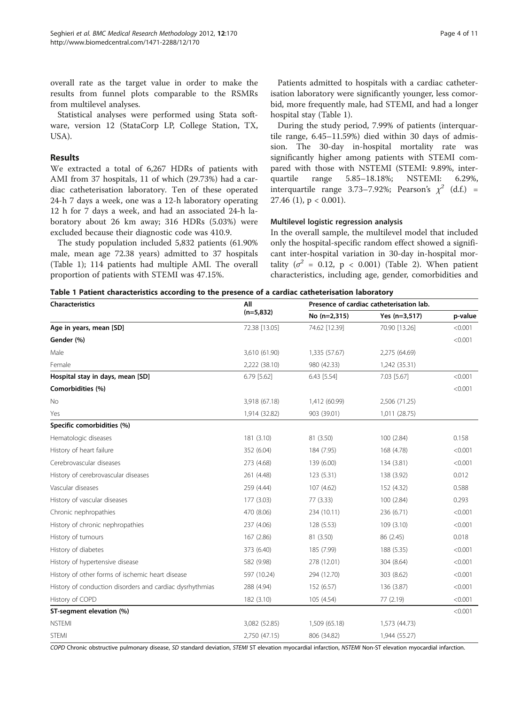overall rate as the target value in order to make the results from funnel plots comparable to the RSMRs from multilevel analyses.

Statistical analyses were performed using Stata software, version 12 (StataCorp LP, College Station, TX, USA).

#### Results

We extracted a total of 6,267 HDRs of patients with AMI from 37 hospitals, 11 of which (29.73%) had a cardiac catheterisation laboratory. Ten of these operated 24-h 7 days a week, one was a 12-h laboratory operating 12 h for 7 days a week, and had an associated 24-h laboratory about 26 km away; 316 HDRs (5.03%) were excluded because their diagnostic code was 410.9.

The study population included 5,832 patients (61.90% male, mean age 72.38 years) admitted to 37 hospitals (Table 1); 114 patients had multiple AMI. The overall proportion of patients with STEMI was 47.15%.

Patients admitted to hospitals with a cardiac catheterisation laboratory were significantly younger, less comorbid, more frequently male, had STEMI, and had a longer hospital stay (Table 1).

During the study period, 7.99% of patients (interquartile range, 6.45–11.59%) died within 30 days of admission. The 30-day in-hospital mortality rate was significantly higher among patients with STEMI compared with those with NSTEMI (STEMI: 9.89%, interquartile range 5.85–18.18%; NSTEMI: 6.29%, interquartile range 3.73–7.92%; Pearson's  $\chi^2$  (d.f.) = 27.46 (1),  $p < 0.001$ ).

#### Multilevel logistic regression analysis

In the overall sample, the multilevel model that included only the hospital-specific random effect showed a significant inter-hospital variation in 30-day in-hospital mortality ( $\sigma^2$  = 0.12, p < 0.001) (Table [2](#page-4-0)). When patient characteristics, including age, gender, comorbidities and

|  |  |  |  |  | Table 1 Patient characteristics according to the presence of a cardiac catheterisation laboratory |  |
|--|--|--|--|--|---------------------------------------------------------------------------------------------------|--|
|--|--|--|--|--|---------------------------------------------------------------------------------------------------|--|

| Characteristics                                          | All<br>$(n=5,832)$ |               | Presence of cardiac catheterisation lab. |         |  |  |
|----------------------------------------------------------|--------------------|---------------|------------------------------------------|---------|--|--|
|                                                          |                    | No (n=2,315)  | Yes (n=3,517)                            | p-value |  |  |
| Age in years, mean [SD]                                  | 72.38 [13.05]      | 74.62 [12.39] | 70.90 [13.26]                            | < 0.001 |  |  |
| Gender (%)                                               |                    |               |                                          | < 0.001 |  |  |
| Male                                                     | 3,610 (61.90)      | 1,335 (57.67) | 2,275 (64.69)                            |         |  |  |
| Female                                                   | 2,222 (38.10)      | 980 (42.33)   | 1,242 (35.31)                            |         |  |  |
| Hospital stay in days, mean [SD]                         | 6.79 [5.62]        | 6.43 [5.54]   | 7.03 [5.67]                              | < 0.001 |  |  |
| Comorbidities (%)                                        |                    |               |                                          | < 0.001 |  |  |
| No                                                       | 3,918 (67.18)      | 1,412 (60.99) | 2,506 (71.25)                            |         |  |  |
| Yes                                                      | 1,914 (32.82)      | 903 (39.01)   | 1,011 (28.75)                            |         |  |  |
| Specific comorbidities (%)                               |                    |               |                                          |         |  |  |
| Hematologic diseases                                     | 181 (3.10)         | 81 (3.50)     | 100 (2.84)                               | 0.158   |  |  |
| History of heart failure                                 | 352 (6.04)         | 184 (7.95)    | 168 (4.78)                               | < 0.001 |  |  |
| Cerebrovascular diseases                                 | 273 (4.68)         | 139 (6.00)    | 134 (3.81)                               | < 0.001 |  |  |
| History of cerebrovascular diseases                      | 261 (4.48)         | 123(5.31)     | 138 (3.92)                               | 0.012   |  |  |
| Vascular diseases                                        | 259 (4.44)         | 107 (4.62)    | 152 (4.32)                               | 0.588   |  |  |
| History of vascular diseases                             | 177 (3.03)         | 77(3.33)      | 100 (2.84)                               | 0.293   |  |  |
| Chronic nephropathies                                    | 470 (8.06)         | 234 (10.11)   | 236 (6.71)                               | < 0.001 |  |  |
| History of chronic nephropathies                         | 237 (4.06)         | 128 (5.53)    | 109 (3.10)                               | < 0.001 |  |  |
| History of tumours                                       | 167 (2.86)         | 81 (3.50)     | 86 (2.45)                                | 0.018   |  |  |
| History of diabetes                                      | 373 (6.40)         | 185 (7.99)    | 188 (5.35)                               | < 0.001 |  |  |
| History of hypertensive disease                          | 582 (9.98)         | 278 (12.01)   | 304 (8.64)                               | < 0.001 |  |  |
| History of other forms of ischemic heart disease         | 597 (10.24)        | 294 (12.70)   | 303 (8.62)                               | < 0.001 |  |  |
| History of conduction disorders and cardiac dysrhythmias | 288 (4.94)         | 152 (6.57)    | 136 (3.87)                               | < 0.001 |  |  |
| History of COPD                                          | 182 (3.10)         | 105 (4.54)    | 77 (2.19)                                | < 0.001 |  |  |
| ST-segment elevation (%)                                 |                    |               |                                          | < 0.001 |  |  |
| <b>NSTEMI</b>                                            | 3,082 (52.85)      | 1,509 (65.18) | 1,573 (44.73)                            |         |  |  |
| <b>STEMI</b>                                             | 2,750 (47.15)      | 806 (34.82)   | 1,944 (55.27)                            |         |  |  |

COPD Chronic obstructive pulmonary disease, SD standard deviation, STEMI ST elevation myocardial infarction, NSTEMI Non-ST elevation myocardial infarction.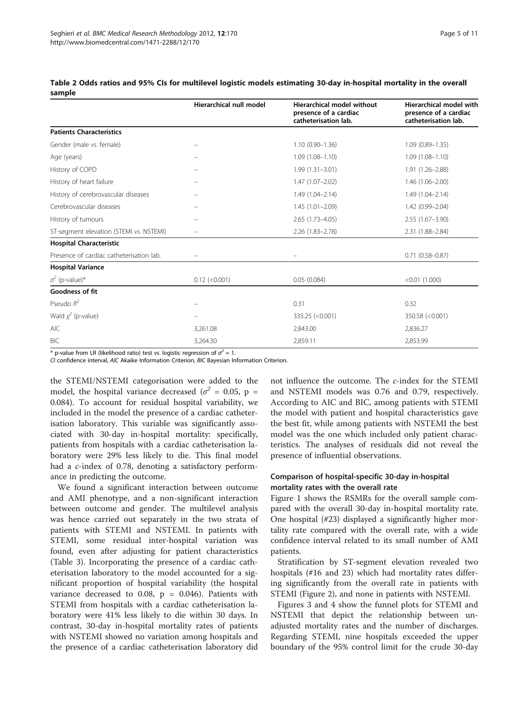|                                          | Hierarchical null model  | Hierarchical model without<br>presence of a cardiac<br>catheterisation lab. | <b>Hierarchical model with</b><br>presence of a cardiac<br>catheterisation lab. |
|------------------------------------------|--------------------------|-----------------------------------------------------------------------------|---------------------------------------------------------------------------------|
| <b>Patients Characteristics</b>          |                          |                                                                             |                                                                                 |
| Gender (male vs. female)                 |                          | $1.10(0.90 - 1.36)$                                                         | $1.09(0.89 - 1.35)$                                                             |
| Age (years)                              |                          | $1.09(1.08 - 1.10)$                                                         | $1.09(1.08 - 1.10)$                                                             |
| History of COPD                          |                          | $1.99(1.31 - 3.01)$                                                         | $1.91(1.26 - 2.88)$                                                             |
| History of heart failure                 |                          | 1.47 (1.07-2.02)                                                            | $1.46(1.06 - 2.00)$                                                             |
| History of cerebrovascular diseases      |                          | $1.49(1.04 - 2.14)$                                                         | $1.49(1.04 - 2.14)$                                                             |
| Cerebrovascular diseases                 |                          | $1.45(1.01 - 2.09)$                                                         | 1.42 (0.99-2.04)                                                                |
| History of tumours                       | $\overline{\phantom{0}}$ | $2.65(1.73 - 4.05)$                                                         | $2.55(1.67 - 3.90)$                                                             |
| ST-segment elevation (STEMI vs. NSTEMI)  | $\overline{\phantom{m}}$ | $2.26(1.83 - 2.78)$                                                         | 2.31 (1.88-2.84)                                                                |
| <b>Hospital Characteristic</b>           |                          |                                                                             |                                                                                 |
| Presence of cardiac catheterisation lab. |                          |                                                                             | $0.71(0.58 - 0.87)$                                                             |
| <b>Hospital Variance</b>                 |                          |                                                                             |                                                                                 |
| $\sigma^2$ (p-value)*                    | $0.12$ (< $0.001$ )      | 0.05(0.084)                                                                 | $< 0.01$ (1.000)                                                                |
| Goodness of fit                          |                          |                                                                             |                                                                                 |
| Pseudo $R^2$                             |                          | 0.31                                                                        | 0.32                                                                            |
| Wald $\chi^2$ (p-value)                  | -                        | 335.25 (< 0.001)                                                            | 350.58 (< 0.001)                                                                |
| <b>AIC</b>                               | 3,261.08                 | 2,843.00                                                                    | 2,836.27                                                                        |
| <b>BIC</b>                               | 3,264.30                 | 2,859.11                                                                    | 2,853.99                                                                        |

<span id="page-4-0"></span>Table 2 Odds ratios and 95% CIs for multilevel logistic models estimating 30-day in-hospital mortality in the overall sample

\* p-value from LR (likelihood ratio) test vs. logistic regression of  $\sigma^2 = 1$ .

CI confidence interval, AIC Akaike Information Criterion, BIC Bayesian Information Criterion.

the STEMI/NSTEMI categorisation were added to the model, the hospital variance decreased ( $\sigma^2$  = 0.05, p = 0.084). To account for residual hospital variability, we included in the model the presence of a cardiac catheterisation laboratory. This variable was significantly associated with 30-day in-hospital mortality: specifically, patients from hospitals with a cardiac catheterisation laboratory were 29% less likely to die. This final model had a c-index of 0.78, denoting a satisfactory performance in predicting the outcome.

We found a significant interaction between outcome and AMI phenotype, and a non-significant interaction between outcome and gender. The multilevel analysis was hence carried out separately in the two strata of patients with STEMI and NSTEMI. In patients with STEMI, some residual inter-hospital variation was found, even after adjusting for patient characteristics (Table [3\)](#page-5-0). Incorporating the presence of a cardiac catheterisation laboratory to the model accounted for a significant proportion of hospital variability (the hospital variance decreased to 0.08,  $p = 0.046$ ). Patients with STEMI from hospitals with a cardiac catheterisation laboratory were 41% less likely to die within 30 days. In contrast, 30-day in-hospital mortality rates of patients with NSTEMI showed no variation among hospitals and the presence of a cardiac catheterisation laboratory did not influence the outcome. The c-index for the STEMI and NSTEMI models was 0.76 and 0.79, respectively. According to AIC and BIC, among patients with STEMI the model with patient and hospital characteristics gave the best fit, while among patients with NSTEMI the best model was the one which included only patient characteristics. The analyses of residuals did not reveal the presence of influential observations.

## Comparison of hospital-specific 30-day in-hospital mortality rates with the overall rate

Figure [1](#page-6-0) shows the RSMRs for the overall sample compared with the overall 30-day in-hospital mortality rate. One hospital (#23) displayed a significantly higher mortality rate compared with the overall rate, with a wide confidence interval related to its small number of AMI patients.

Stratification by ST-segment elevation revealed two hospitals (#16 and 23) which had mortality rates differing significantly from the overall rate in patients with STEMI (Figure [2](#page-6-0)), and none in patients with NSTEMI.

Figures [3](#page-7-0) and [4](#page-7-0) show the funnel plots for STEMI and NSTEMI that depict the relationship between unadjusted mortality rates and the number of discharges. Regarding STEMI, nine hospitals exceeded the upper boundary of the 95% control limit for the crude 30-day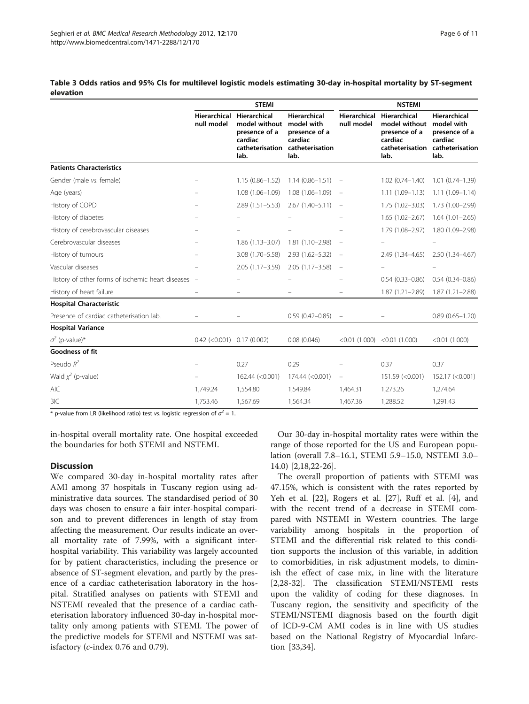|                                                     | <b>STEMI</b>                       |                                                                                                              |                                                                            | <b>NSTEMI</b>              |                                                                                      |                                                                                   |
|-----------------------------------------------------|------------------------------------|--------------------------------------------------------------------------------------------------------------|----------------------------------------------------------------------------|----------------------------|--------------------------------------------------------------------------------------|-----------------------------------------------------------------------------------|
|                                                     | null model                         | Hierarchical Hierarchical<br>model without model with<br>presence of a<br>cardiac<br>catheterisation<br>lab. | <b>Hierarchical</b><br>presence of a<br>cardiac<br>catheterisation<br>lab. | Hierarchical<br>null model | Hierarchical<br>model without<br>presence of a<br>cardiac<br>catheterisation<br>lab. | Hierarchical<br>model with<br>presence of a<br>cardiac<br>catheterisation<br>lab. |
| <b>Patients Characteristics</b>                     |                                    |                                                                                                              |                                                                            |                            |                                                                                      |                                                                                   |
| Gender (male vs. female)                            |                                    | $1.15(0.86 - 1.52)$                                                                                          | $1.14(0.86 - 1.51)$                                                        |                            | $1.02(0.74 - 1.40)$                                                                  | $1.01(0.74 - 1.39)$                                                               |
| Age (years)                                         |                                    | $1.08(1.06 - 1.09)$                                                                                          | $1.08(1.06 - 1.09)$                                                        |                            | $1.11(1.09 - 1.13)$                                                                  | $1.11(1.09 - 1.14)$                                                               |
| History of COPD                                     |                                    | $2.89(1.51 - 5.53)$                                                                                          | $2.67(1.40-5.11)$                                                          |                            | $1.75(1.02 - 3.03)$                                                                  | 1.73 (1.00-2.99)                                                                  |
| History of diabetes                                 |                                    |                                                                                                              |                                                                            |                            | $1.65(1.02 - 2.67)$                                                                  | $1.64(1.01 - 2.65)$                                                               |
| History of cerebrovascular diseases                 |                                    |                                                                                                              |                                                                            |                            | 1.79 (1.08-2.97)                                                                     | 1.80 (1.09-2.98)                                                                  |
| Cerebrovascular diseases                            |                                    | $1.86(1.13 - 3.07)$                                                                                          | $1.81(1.10 - 2.98)$                                                        |                            |                                                                                      |                                                                                   |
| History of tumours                                  |                                    | 3.08 (1.70-5.58)                                                                                             | 2.93 (1.62-5.32)                                                           |                            | $2.49(1.34 - 4.65)$                                                                  | 2.50 (1.34-4.67)                                                                  |
| Vascular diseases                                   |                                    | $2.05(1.17 - 3.59)$                                                                                          | $2.05(1.17 - 3.58)$                                                        |                            |                                                                                      |                                                                                   |
| History of other forms of ischemic heart diseases - |                                    |                                                                                                              |                                                                            |                            | $0.54(0.33 - 0.86)$                                                                  | $0.54(0.34 - 0.86)$                                                               |
| History of heart failure                            |                                    |                                                                                                              |                                                                            |                            | $1.87(1.21 - 2.89)$                                                                  | $1.87(1.21 - 2.88)$                                                               |
| <b>Hospital Characteristic</b>                      |                                    |                                                                                                              |                                                                            |                            |                                                                                      |                                                                                   |
| Presence of cardiac catheterisation lab.            |                                    |                                                                                                              | $0.59(0.42 - 0.85)$                                                        |                            |                                                                                      | $0.89(0.65 - 1.20)$                                                               |
| <b>Hospital Variance</b>                            |                                    |                                                                                                              |                                                                            |                            |                                                                                      |                                                                                   |
| $\sigma^2$ (p-value)*                               | $0.42$ (< $0.001$ ) $0.17$ (0.002) |                                                                                                              | 0.08(0.046)                                                                |                            | $< 0.01$ (1.000) $< 0.01$ (1.000)                                                    | $< 0.01$ (1.000)                                                                  |
| Goodness of fit                                     |                                    |                                                                                                              |                                                                            |                            |                                                                                      |                                                                                   |
| Pseudo $R^2$                                        |                                    | 0.27                                                                                                         | 0.29                                                                       |                            | 0.37                                                                                 | 0.37                                                                              |
| Wald $\chi^2$ (p-value)                             |                                    | 162.44 (< 0.001)                                                                                             | 174.44 (< 0.001)                                                           |                            | 151.59 (< $0.001$ )                                                                  | 152.17 (< 0.001)                                                                  |
| <b>AIC</b>                                          | 1,749.24                           | 1,554.80                                                                                                     | 1,549.84                                                                   | 1,464.31                   | 1,273.26                                                                             | 1,274.64                                                                          |
| <b>BIC</b>                                          | 1,753.46                           | 1,567.69                                                                                                     | 1,564.34                                                                   | 1,467.36                   | 1,288.52                                                                             | 1,291.43                                                                          |

<span id="page-5-0"></span>Table 3 Odds ratios and 95% CIs for multilevel logistic models estimating 30-day in-hospital mortality by ST-segment elevation

\* p-value from LR (likelihood ratio) test vs. logistic regression of  $\sigma^2 = 1$ .

in-hospital overall mortality rate. One hospital exceeded the boundaries for both STEMI and NSTEMI.

#### **Discussion**

We compared 30-day in-hospital mortality rates after AMI among 37 hospitals in Tuscany region using administrative data sources. The standardised period of 30 days was chosen to ensure a fair inter-hospital comparison and to prevent differences in length of stay from affecting the measurement. Our results indicate an overall mortality rate of 7.99%, with a significant interhospital variability. This variability was largely accounted for by patient characteristics, including the presence or absence of ST-segment elevation, and partly by the presence of a cardiac catheterisation laboratory in the hospital. Stratified analyses on patients with STEMI and NSTEMI revealed that the presence of a cardiac catheterisation laboratory influenced 30-day in-hospital mortality only among patients with STEMI. The power of the predictive models for STEMI and NSTEMI was satisfactory (c-index 0.76 and 0.79).

Our 30-day in-hospital mortality rates were within the range of those reported for the US and European population (overall 7.8–16.1, STEMI 5.9–15.0, NSTEMI 3.0– 14.0) [[2,18,22-26](#page-9-0)].

The overall proportion of patients with STEMI was 47.15%, which is consistent with the rates reported by Yeh et al. [[22\]](#page-9-0), Rogers et al. [\[27\]](#page-9-0), Ruff et al. [\[4](#page-9-0)], and with the recent trend of a decrease in STEMI compared with NSTEMI in Western countries. The large variability among hospitals in the proportion of STEMI and the differential risk related to this condition supports the inclusion of this variable, in addition to comorbidities, in risk adjustment models, to diminish the effect of case mix, in line with the literature [[2,28](#page-9-0)[-32](#page-10-0)]. The classification STEMI/NSTEMI rests upon the validity of coding for these diagnoses. In Tuscany region, the sensitivity and specificity of the STEMI/NSTEMI diagnosis based on the fourth digit of ICD-9-CM AMI codes is in line with US studies based on the National Registry of Myocardial Infarction [\[33,34](#page-10-0)].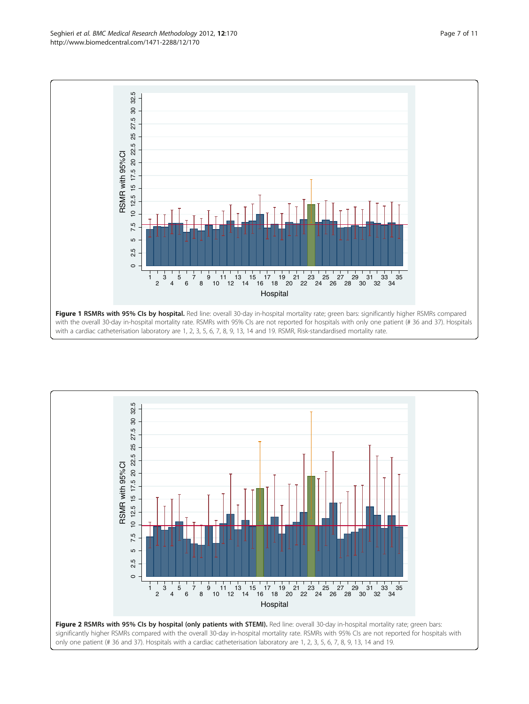<span id="page-6-0"></span>

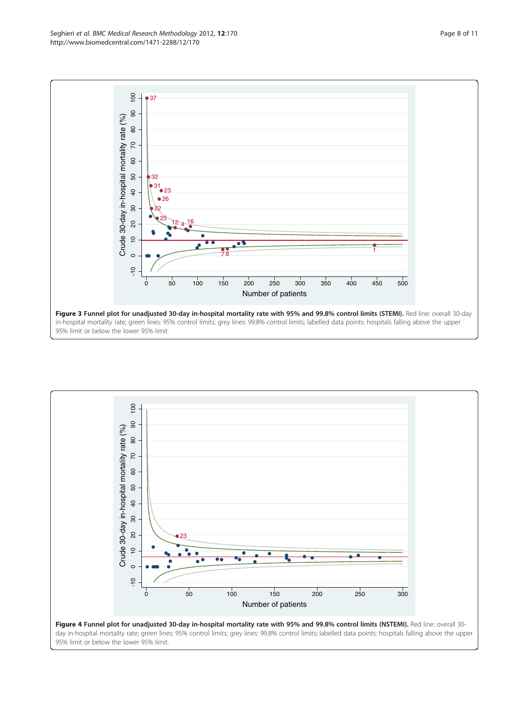<span id="page-7-0"></span>

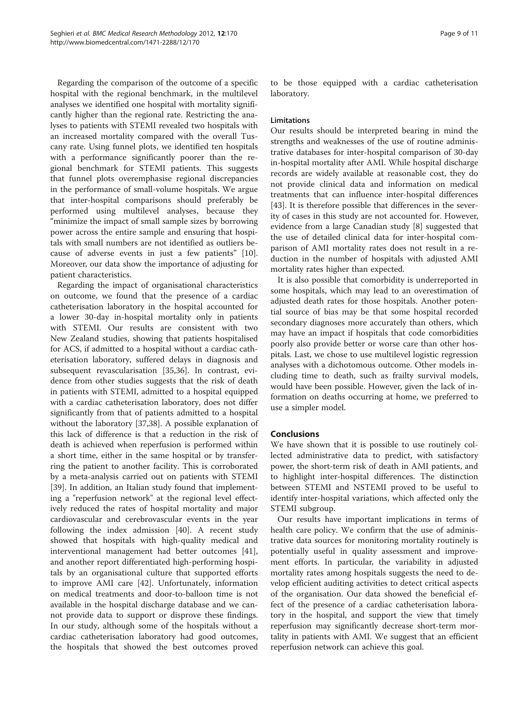Regarding the comparison of the outcome of a specific hospital with the regional benchmark, in the multilevel analyses we identified one hospital with mortality significantly higher than the regional rate. Restricting the analyses to patients with STEMI revealed two hospitals with an increased mortality compared with the overall Tuscany rate. Using funnel plots, we identified ten hospitals with a performance significantly poorer than the regional benchmark for STEMI patients. This suggests that funnel plots overemphasise regional discrepancies in the performance of small-volume hospitals. We argue that inter-hospital comparisons should preferably be performed using multilevel analyses, because they "minimize the impact of small sample sizes by borrowing power across the entire sample and ensuring that hospitals with small numbers are not identified as outliers because of adverse events in just a few patients" [\[10](#page-9-0)]. Moreover, our data show the importance of adjusting for patient characteristics.

Regarding the impact of organisational characteristics on outcome, we found that the presence of a cardiac catheterisation laboratory in the hospital accounted for a lower 30-day in-hospital mortality only in patients with STEMI. Our results are consistent with two New Zealand studies, showing that patients hospitalised for ACS, if admitted to a hospital without a cardiac catheterisation laboratory, suffered delays in diagnosis and subsequent revascularisation [\[35,36\]](#page-10-0). In contrast, evidence from other studies suggests that the risk of death in patients with STEMI, admitted to a hospital equipped with a cardiac catheterisation laboratory, does not differ significantly from that of patients admitted to a hospital without the laboratory [[37](#page-10-0),[38](#page-10-0)]. A possible explanation of this lack of difference is that a reduction in the risk of death is achieved when reperfusion is performed within a short time, either in the same hospital or by transferring the patient to another facility. This is corroborated by a meta-analysis carried out on patients with STEMI [[39\]](#page-10-0). In addition, an Italian study found that implementing a "reperfusion network" at the regional level effectively reduced the rates of hospital mortality and major cardiovascular and cerebrovascular events in the year following the index admission [[40\]](#page-10-0). A recent study showed that hospitals with high-quality medical and interventional management had better outcomes [\[41](#page-10-0)], and another report differentiated high-performing hospitals by an organisational culture that supported efforts to improve AMI care [[42\]](#page-10-0). Unfortunately, information on medical treatments and door-to-balloon time is not available in the hospital discharge database and we cannot provide data to support or disprove these findings. In our study, although some of the hospitals without a cardiac catheterisation laboratory had good outcomes, the hospitals that showed the best outcomes proved

to be those equipped with a cardiac catheterisation laboratory.

## Limitations

Our results should be interpreted bearing in mind the strengths and weaknesses of the use of routine administrative databases for inter-hospital comparison of 30-day in-hospital mortality after AMI. While hospital discharge records are widely available at reasonable cost, they do not provide clinical data and information on medical treatments that can influence inter-hospital differences [[43\]](#page-10-0). It is therefore possible that differences in the severity of cases in this study are not accounted for. However, evidence from a large Canadian study [\[8\]](#page-9-0) suggested that the use of detailed clinical data for inter-hospital comparison of AMI mortality rates does not result in a reduction in the number of hospitals with adjusted AMI mortality rates higher than expected.

It is also possible that comorbidity is underreported in some hospitals, which may lead to an overestimation of adjusted death rates for those hospitals. Another potential source of bias may be that some hospital recorded secondary diagnoses more accurately than others, which may have an impact if hospitals that code comorbidities poorly also provide better or worse care than other hospitals. Last, we chose to use multilevel logistic regression analyses with a dichotomous outcome. Other models including time to death, such as frailty survival models, would have been possible. However, given the lack of information on deaths occurring at home, we preferred to use a simpler model.

## Conclusions

We have shown that it is possible to use routinely collected administrative data to predict, with satisfactory power, the short-term risk of death in AMI patients, and to highlight inter-hospital differences. The distinction between STEMI and NSTEMI proved to be useful to identify inter-hospital variations, which affected only the STEMI subgroup.

Our results have important implications in terms of health care policy. We confirm that the use of administrative data sources for monitoring mortality routinely is potentially useful in quality assessment and improvement efforts. In particular, the variability in adjusted mortality rates among hospitals suggests the need to develop efficient auditing activities to detect critical aspects of the organisation. Our data showed the beneficial effect of the presence of a cardiac catheterisation laboratory in the hospital, and support the view that timely reperfusion may significantly decrease short-term mortality in patients with AMI. We suggest that an efficient reperfusion network can achieve this goal.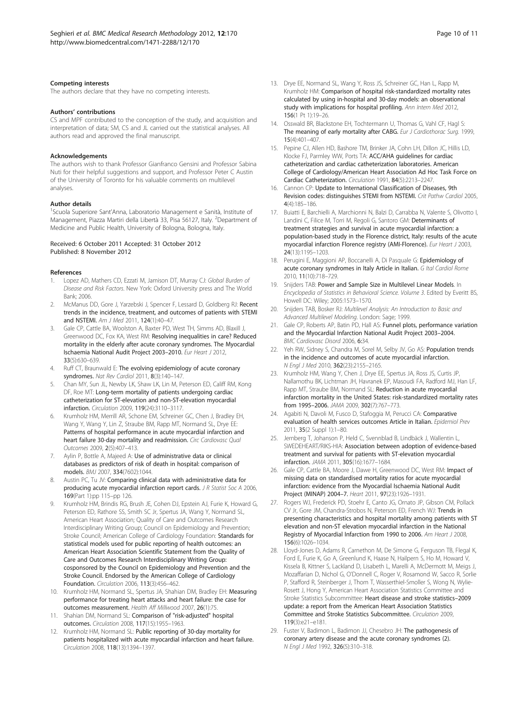#### <span id="page-9-0"></span>Competing interests

The authors declare that they have no competing interests.

#### Authors' contributions

CS and MPF contributed to the conception of the study, and acquisition and interpretation of data; SM, CS and JL carried out the statistical analyses. All authors read and approved the final manuscript.

#### Acknowledgements

The authors wish to thank Professor Gianfranco Gensini and Professor Sabina Nuti for their helpful suggestions and support, and Professor Peter C Austin of the University of Toronto for his valuable comments on multilevel analyses.

#### Author details

<sup>1</sup>Scuola Superiore Sant'Anna, Laboratorio Management e Sanità, Institute of Management, Piazza Martiri della Libertà 33, Pisa 56127, Italy. <sup>2</sup>Department of Medicine and Public Health, University of Bologna, Bologna, Italy.

#### Received: 6 October 2011 Accepted: 31 October 2012 Published: 8 November 2012

#### References

- Lopez AD, Mathers CD, Ezzati M, Jamison DT, Murray CJ: Global Burden of Disease and Risk Factors. New York: Oxford University press and The World Bank; 2006.
- 2. McManus DD, Gore J, Yarzebski J, Spencer F, Lessard D, Goldberg RJ: Recent trends in the incidence, treatment, and outcomes of patients with STEMI and NSTEMI. Am J Med 2011, 124(1):40–47.
- Gale CP, Cattle BA, Woolston A, Baxter PD, West TH, Simms AD, Blaxill J, Greenwood DC, Fox KA, West RM: Resolving inequalities in care? Reduced mortality in the elderly after acute coronary syndromes. The Myocardial Ischaemia National Audit Project 2003–2010. Eur Heart J 2012, 33(5):630–639.
- 4. Ruff CT, Braunwald E: The evolving epidemiology of acute coronary syndromes. Nat Rev Cardiol 2011, 8(3):140–147.
- 5. Chan MY, Sun JL, Newby LK, Shaw LK, Lin M, Peterson ED, Califf RM, Kong DF, Roe MT: Long-term mortality of patients undergoing cardiac catheterization for ST-elevation and non-ST-elevation myocardial infarction. Circulation 2009, 119(24):3110–3117.
- 6. Krumholz HM, Merrill AR, Schone EM, Schreiner GC, Chen J, Bradley EH, Wang Y, Wang Y, Lin Z, Straube BM, Rapp MT, Normand SL, Drye EE: Patterns of hospital performance in acute myocardial infarction and heart failure 30-day mortality and readmission. Circ Cardiovasc Qual Outcomes 2009, 2(5):407–413.
- 7. Aylin P, Bottle A, Majeed A: Use of administrative data or clinical databases as predictors of risk of death in hospital: comparison of models. BMJ 2007, 334(7602):1044.
- 8. Austin PC, Tu JV: Comparing clinical data with administrative data for producing acute myocardial infarction report cards. J R Statist Soc A 2006, 169(Part 1):pp 115–pp 126.
- 9. Krumholz HM, Brindis RG, Brush JE, Cohen DJ, Epstein AJ, Furie K, Howard G, Peterson ED, Rathore SS, Smith SC Jr, Spertus JA, Wang Y, Normand SL, American Heart Association; Quality of Care and Outcomes Research Interdisciplinary Writing Group; Council on Epidemiology and Prevention; Stroke Council; American College of Cardiology Foundation: Standards for statistical models used for public reporting of health outcomes: an American Heart Association Scientific Statement from the Quality of Care and Outcomes Research Interdisciplinary Writing Group: cosponsored by the Council on Epidemiology and Prevention and the Stroke Council. Endorsed by the American College of Cardiology Foundation. Circulation 2006, 113(3):456–462.
- 10. Krumholz HM, Normand SL, Spertus JA, Shahian DM, Bradley EH: Measuring performance for treating heart attacks and heart failure: the case for outcomes measurement. Health Aff Millwood 2007, 26(1):75.
- 11. Shahian DM, Normand SL: Comparison of "risk-adjusted" hospital outcomes. Circulation 2008, 117(15):1955–1963.
- 12. Krumholz HM, Normand SL: Public reporting of 30-day mortality for patients hospitalized with acute myocardial infarction and heart failure. Circulation 2008, 118(13):1394–1397.
- 13. Drye EE, Normand SL, Wang Y, Ross JS, Schreiner GC, Han L, Rapp M, Krumholz HM: Comparison of hospital risk-standardized mortality rates calculated by using in-hospital and 30-day models: an observational study with implications for hospital profiling. Ann Intern Med 2012, 156(1 Pt 1):19–26.
- 14. Osswald BR, Blackstone EH, Tochtermann U, Thomas G, Vahl CF, Hagl S: The meaning of early mortality after CABG. Eur J Cardiothorac Surg. 1999, 15(4):401–407.
- 15. Pepine CJ, Allen HD, Bashore TM, Brinker JA, Cohn LH, Dillon JC, Hillis LD, Klocke FJ, Parmley WW, Ports TA: ACC/AHA guidelines for cardiac catheterization and cardiac catheterization laboratories. American College of Cardiology/American Heart Association Ad Hoc Task Force on Cardiac Catheterization. Circulation 1991, 84(5):2213–2247.
- 16. Cannon CP: Update to International Classification of Diseases, 9th Revision codes: distinguishes STEMI from NSTEMI. Crit Pathw Cardiol 2005,  $4(4):185-186$
- 17. Buiatti E, Barchielli A, Marchionni N, Balzi D, Carrabba N, Valente S, Olivotto I, Landini C, Filice M, Torri M, Regoli G, Santoro GM: Determinants of treatment strategies and survival in acute myocardial infarction: a population-based study in the Florence district, Italy: results of the acute myocardial infarction Florence registry (AMI-Florence). Eur Heart J 2003, 24(13):1195–1203.
- 18. Perugini E, Maggioni AP, Boccanelli A, Di Pasquale G: Epidemiology of acute coronary syndromes in Italy Article in Italian. G Ital Cardiol Rome 2010, 11(10):718–729.
- 19. Snijders TAB: Power and Sample Size in Multilevel Linear Models. In Encyclopedia of Statistics in Behavioral Science. Volume 3. Edited by Everitt BS, Howell DC: Wiley; 2005:1573–1570.
- 20. Snijders TAB, Bosker RJ: Multilevel Analysis: An Introduction to Basic and Advanced Multilevel Modeling. London: Sage; 1999.
- 21. Gale CP, Roberts AP, Batin PD, Hall AS: Funnel plots, performance variation and the Myocardial Infarction National Audit Project 2003–2004. BMC Cardiovasc Disord 2006, 6:34.
- 22. Yeh RW, Sidney S, Chandra M, Sorel M, Selby JV, Go AS: Population trends in the incidence and outcomes of acute myocardial infarction. N Engl J Med 2010, 362(23):2155-2165.
- 23. Krumholz HM, Wang Y, Chen J, Drye EE, Spertus JA, Ross JS, Curtis JP, Nallamothu BK, Lichtman JH, Havranek EP, Masoudi FA, Radford MJ, Han LF, Rapp MT, Straube BM, Normand SL: Reduction in acute myocardial infarction mortality in the United States: risk-standardized mortality rates from 1995–2006. JAMA 2009, 302(7):767–773.
- 24. Agabiti N, Davoli M, Fusco D, Stafoggia M, Perucci CA: Comparative evaluation of health services outcomes Article in Italian. Epidemiol Prev 2011, 35(2 Suppl 1):1–80.
- 25. Jernberg T, Johanson P, Held C, Svennblad B, Lindbäck J, Wallentin L, SWEDEHEART/RIKS-HIA: Association between adoption of evidence-based treatment and survival for patients with ST-elevation myocardial infarction. JAMA 2011, 305(16):1677–1684.
- 26. Gale CP, Cattle BA, Moore J, Dawe H, Greenwood DC, West RM: Impact of missing data on standardised mortality ratios for acute myocardial infarction: evidence from the Myocardial Ischaemia National Audit Project (MINAP) 2004–7. Heart 2011, 97(23):1926–1931.
- 27. Rogers WJ, Frederick PD, Stoehr E, Canto JG, Ornato JP, Gibson CM, Pollack CV Jr, Gore JM, Chandra-Strobos N, Peterson ED, French WJ: Trends in presenting characteristics and hospital mortality among patients with ST elevation and non-ST elevation myocardial infarction in the National Registry of Myocardial Infarction from 1990 to 2006. Am Heart J 2008, 156(6):1026–1034.
- 28. Lloyd-Jones D, Adams R, Carnethon M, De Simone G, Ferguson TB, Flegal K, Ford E, Furie K, Go A, Greenlund K, Haase N, Hailpern S, Ho M, Howard V, Kissela B, Kittner S, Lackland D, Lisabeth L, Marelli A, McDermott M, Meigs J, Mozaffarian D, Nichol G, O'Donnell C, Roger V, Rosamond W, Sacco R, Sorlie P, Stafford R, Steinberger J, Thom T, Wasserthiel-Smoller S, Wong N, Wylie-Rosett J, Hong Y, American Heart Association Statistics Committee and Stroke Statistics Subcommittee: Heart disease and stroke statistics–2009 update: a report from the American Heart Association Statistics Committee and Stroke Statistics Subcommittee. Circulation 2009, 119(3):e21–e181.
- 29. Fuster V, Badimon L, Badimon JJ, Chesebro JH: The pathogenesis of coronary artery disease and the acute coronary syndromes (2). N Engl J Med 1992, 326(5):310–318.